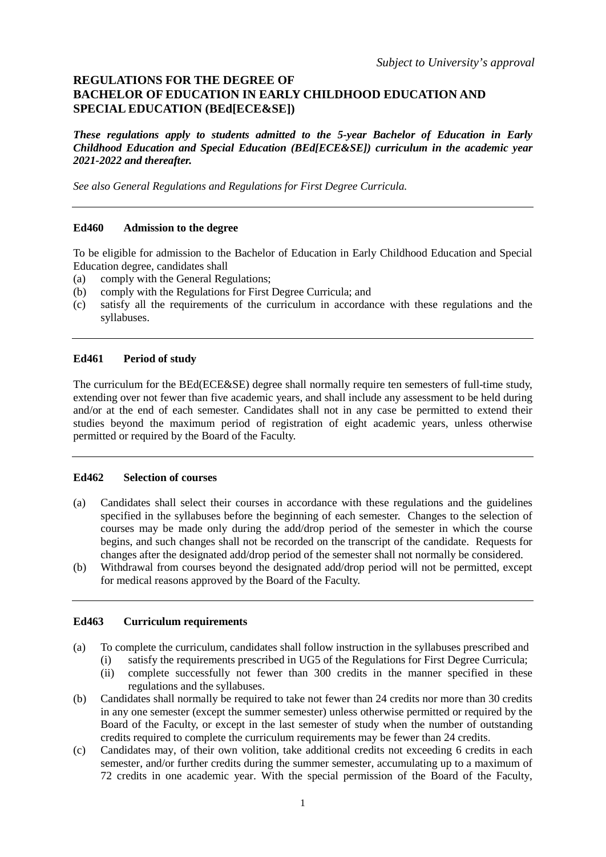# **REGULATIONS FOR THE DEGREE OF BACHELOR OF EDUCATION IN EARLY CHILDHOOD EDUCATION AND SPECIAL EDUCATION (BEd[ECE&SE])**

*These regulations apply to students admitted to the 5-year Bachelor of Education in Early Childhood Education and Special Education (BEd[ECE&SE]) curriculum in the academic year 2021-2022 and thereafter.*

*See also General Regulations and Regulations for First Degree Curricula.*

#### **Ed460 Admission to the degree**

To be eligible for admission to the Bachelor of Education in Early Childhood Education and Special Education degree, candidates shall

- (a) comply with the General Regulations;
- (b) comply with the Regulations for First Degree Curricula; and
- (c) satisfy all the requirements of the curriculum in accordance with these regulations and the syllabuses.

## **Ed461 Period of study**

The curriculum for the BEd(ECE&SE) degree shall normally require ten semesters of full-time study, extending over not fewer than five academic years, and shall include any assessment to be held during and/or at the end of each semester. Candidates shall not in any case be permitted to extend their studies beyond the maximum period of registration of eight academic years, unless otherwise permitted or required by the Board of the Faculty.

#### **Ed462 Selection of courses**

- (a) Candidates shall select their courses in accordance with these regulations and the guidelines specified in the syllabuses before the beginning of each semester. Changes to the selection of courses may be made only during the add/drop period of the semester in which the course begins, and such changes shall not be recorded on the transcript of the candidate. Requests for changes after the designated add/drop period of the semester shall not normally be considered.
- (b) Withdrawal from courses beyond the designated add/drop period will not be permitted, except for medical reasons approved by the Board of the Faculty.

## **Ed463 Curriculum requirements**

- (a) To complete the curriculum, candidates shall follow instruction in the syllabuses prescribed and
	- (i) satisfy the requirements prescribed in UG5 of the Regulations for First Degree Curricula;
	- (ii) complete successfully not fewer than 300 credits in the manner specified in these regulations and the syllabuses.
- (b) Candidates shall normally be required to take not fewer than 24 credits nor more than 30 credits in any one semester (except the summer semester) unless otherwise permitted or required by the Board of the Faculty, or except in the last semester of study when the number of outstanding credits required to complete the curriculum requirements may be fewer than 24 credits.
- (c) Candidates may, of their own volition, take additional credits not exceeding 6 credits in each semester, and/or further credits during the summer semester, accumulating up to a maximum of 72 credits in one academic year. With the special permission of the Board of the Faculty,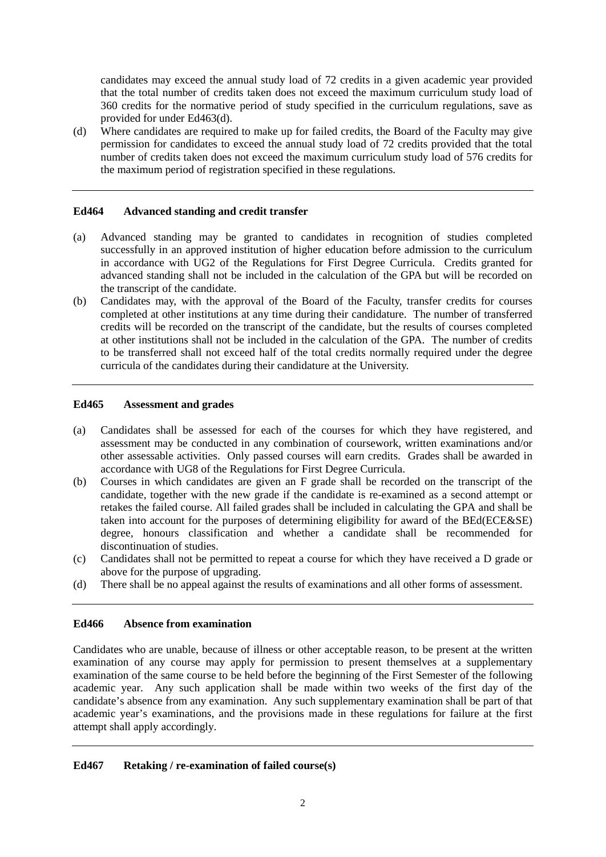candidates may exceed the annual study load of 72 credits in a given academic year provided that the total number of credits taken does not exceed the maximum curriculum study load of 360 credits for the normative period of study specified in the curriculum regulations, save as provided for under Ed463(d).

(d) Where candidates are required to make up for failed credits, the Board of the Faculty may give permission for candidates to exceed the annual study load of 72 credits provided that the total number of credits taken does not exceed the maximum curriculum study load of 576 credits for the maximum period of registration specified in these regulations.

## **Ed464 Advanced standing and credit transfer**

- (a) Advanced standing may be granted to candidates in recognition of studies completed successfully in an approved institution of higher education before admission to the curriculum in accordance with UG2 of the Regulations for First Degree Curricula. Credits granted for advanced standing shall not be included in the calculation of the GPA but will be recorded on the transcript of the candidate.
- (b) Candidates may, with the approval of the Board of the Faculty, transfer credits for courses completed at other institutions at any time during their candidature. The number of transferred credits will be recorded on the transcript of the candidate, but the results of courses completed at other institutions shall not be included in the calculation of the GPA. The number of credits to be transferred shall not exceed half of the total credits normally required under the degree curricula of the candidates during their candidature at the University.

#### **Ed465 Assessment and grades**

- (a) Candidates shall be assessed for each of the courses for which they have registered, and assessment may be conducted in any combination of coursework, written examinations and/or other assessable activities. Only passed courses will earn credits. Grades shall be awarded in accordance with UG8 of the Regulations for First Degree Curricula.
- (b) Courses in which candidates are given an F grade shall be recorded on the transcript of the candidate, together with the new grade if the candidate is re-examined as a second attempt or retakes the failed course. All failed grades shall be included in calculating the GPA and shall be taken into account for the purposes of determining eligibility for award of the BEd(ECE&SE) degree, honours classification and whether a candidate shall be recommended for discontinuation of studies.
- (c) Candidates shall not be permitted to repeat a course for which they have received a D grade or above for the purpose of upgrading.
- (d) There shall be no appeal against the results of examinations and all other forms of assessment.

# **Ed466 Absence from examination**

Candidates who are unable, because of illness or other acceptable reason, to be present at the written examination of any course may apply for permission to present themselves at a supplementary examination of the same course to be held before the beginning of the First Semester of the following academic year. Any such application shall be made within two weeks of the first day of the candidate's absence from any examination. Any such supplementary examination shall be part of that academic year's examinations, and the provisions made in these regulations for failure at the first attempt shall apply accordingly.

# **Ed467 Retaking / re-examination of failed course(s)**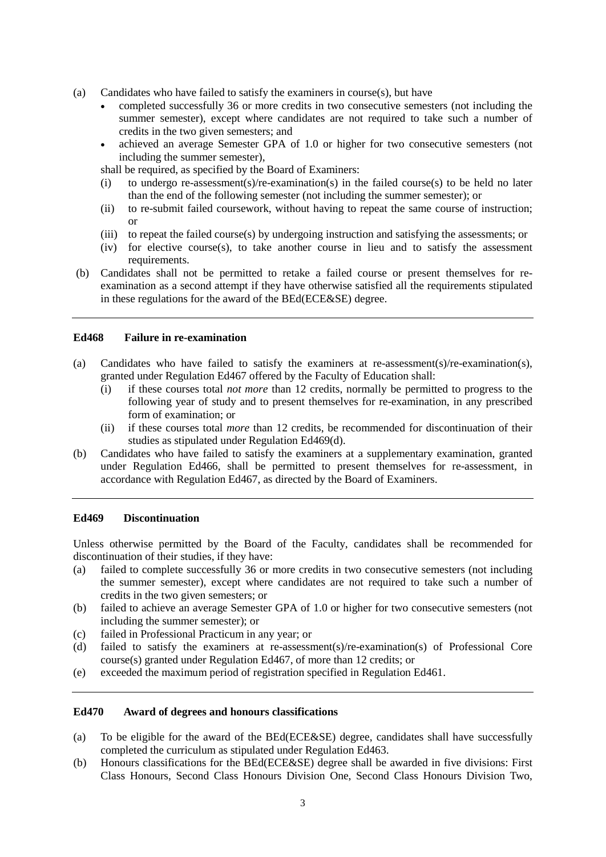- (a) Candidates who have failed to satisfy the examiners in course(s), but have
	- completed successfully 36 or more credits in two consecutive semesters (not including the summer semester), except where candidates are not required to take such a number of credits in the two given semesters; and
	- achieved an average Semester GPA of 1.0 or higher for two consecutive semesters (not including the summer semester),

shall be required, as specified by the Board of Examiners:

- (i) to undergo re-assessment(s)/re-examination(s) in the failed course(s) to be held no later than the end of the following semester (not including the summer semester); or
- (ii) to re-submit failed coursework, without having to repeat the same course of instruction; or
- (iii) to repeat the failed course(s) by undergoing instruction and satisfying the assessments; or
- (iv) for elective course(s), to take another course in lieu and to satisfy the assessment requirements.
- (b) Candidates shall not be permitted to retake a failed course or present themselves for reexamination as a second attempt if they have otherwise satisfied all the requirements stipulated in these regulations for the award of the BEd(ECE&SE) degree.

#### **Ed468 Failure in re-examination**

- (a) Candidates who have failed to satisfy the examiners at re-assessment(s)/re-examination(s), granted under Regulation Ed467 offered by the Faculty of Education shall:
	- (i) if these courses total *not more* than 12 credits, normally be permitted to progress to the following year of study and to present themselves for re-examination, in any prescribed form of examination; or
	- (ii) if these courses total *more* than 12 credits, be recommended for discontinuation of their studies as stipulated under Regulation Ed469(d).
- (b) Candidates who have failed to satisfy the examiners at a supplementary examination, granted under Regulation Ed466, shall be permitted to present themselves for re-assessment, in accordance with Regulation Ed467, as directed by the Board of Examiners.

#### **Ed469 Discontinuation**

Unless otherwise permitted by the Board of the Faculty, candidates shall be recommended for discontinuation of their studies, if they have:

- (a) failed to complete successfully 36 or more credits in two consecutive semesters (not including the summer semester), except where candidates are not required to take such a number of credits in the two given semesters; or
- (b) failed to achieve an average Semester GPA of 1.0 or higher for two consecutive semesters (not including the summer semester); or
- (c) failed in Professional Practicum in any year; or
- (d) failed to satisfy the examiners at re-assessment(s)/re-examination(s) of Professional Core course(s) granted under Regulation Ed467, of more than 12 credits; or
- (e) exceeded the maximum period of registration specified in Regulation Ed461.

#### **Ed470 Award of degrees and honours classifications**

- (a) To be eligible for the award of the BEd(ECE&SE) degree, candidates shall have successfully completed the curriculum as stipulated under Regulation Ed463.
- (b) Honours classifications for the BEd(ECE&SE) degree shall be awarded in five divisions: First Class Honours, Second Class Honours Division One, Second Class Honours Division Two,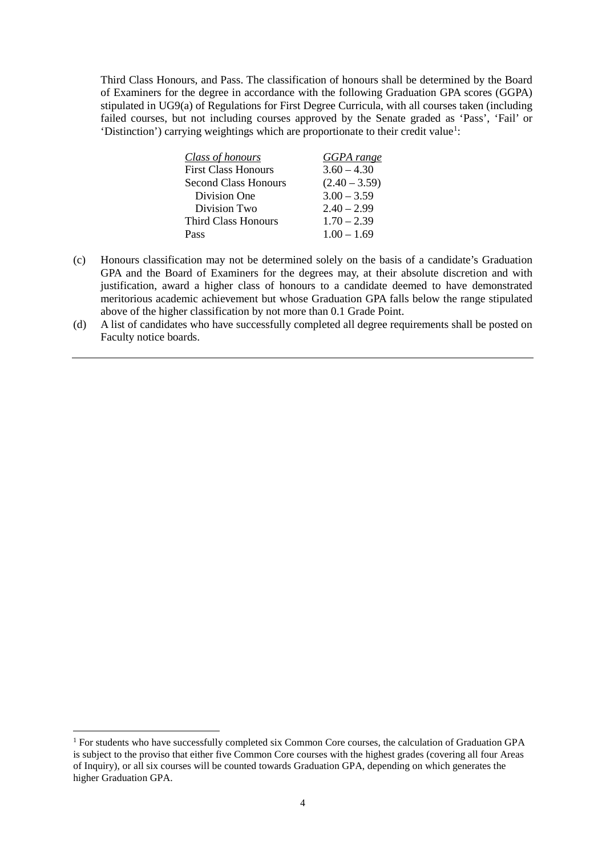Third Class Honours, and Pass. The classification of honours shall be determined by the Board of Examiners for the degree in accordance with the following Graduation GPA scores (GGPA) stipulated in UG9(a) of Regulations for First Degree Curricula, with all courses taken (including failed courses, but not including courses approved by the Senate graded as 'Pass', 'Fail' or 'Distinction') carrying weightings which are proportionate to their credit value<sup>[1](#page-3-0)</sup>:

| Class of honours           | GGPA range      |
|----------------------------|-----------------|
| <b>First Class Honours</b> | $3.60 - 4.30$   |
| Second Class Honours       | $(2.40 - 3.59)$ |
| Division One               | $3.00 - 3.59$   |
| Division Two               | $2.40 - 2.99$   |
| <b>Third Class Honours</b> | $1.70 - 2.39$   |
| Pass                       | $1.00 - 1.69$   |

- (c) Honours classification may not be determined solely on the basis of a candidate's Graduation GPA and the Board of Examiners for the degrees may, at their absolute discretion and with justification, award a higher class of honours to a candidate deemed to have demonstrated meritorious academic achievement but whose Graduation GPA falls below the range stipulated above of the higher classification by not more than 0.1 Grade Point.
- (d) A list of candidates who have successfully completed all degree requirements shall be posted on Faculty notice boards.

<span id="page-3-0"></span> <sup>1</sup> For students who have successfully completed six Common Core courses, the calculation of Graduation GPA is subject to the proviso that either five Common Core courses with the highest grades (covering all four Areas of Inquiry), or all six courses will be counted towards Graduation GPA, depending on which generates the higher Graduation GPA.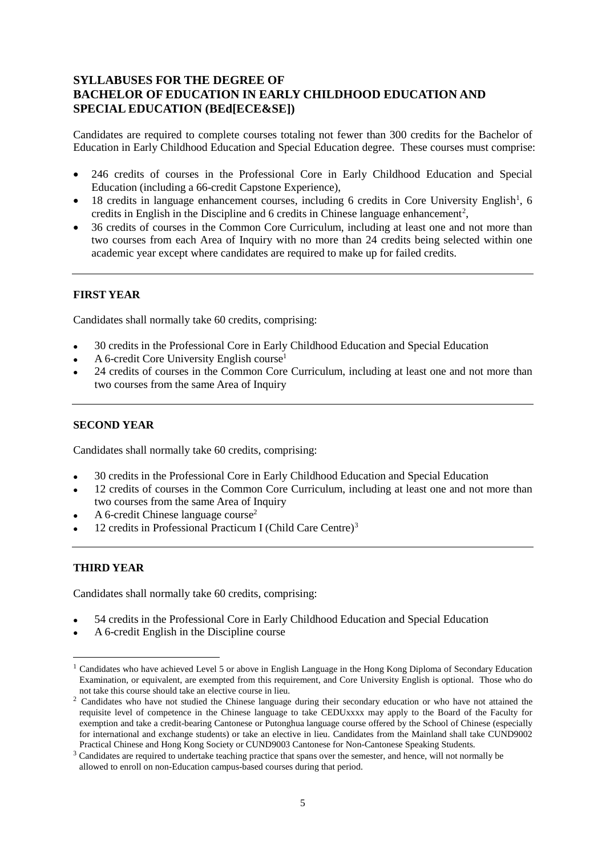# **SYLLABUSES FOR THE DEGREE OF BACHELOR OF EDUCATION IN EARLY CHILDHOOD EDUCATION AND SPECIAL EDUCATION (BEd[ECE&SE])**

Candidates are required to complete courses totaling not fewer than 300 credits for the Bachelor of Education in Early Childhood Education and Special Education degree. These courses must comprise:

- 246 credits of courses in the Professional Core in Early Childhood Education and Special Education (including a 66-credit Capstone Experience),
- [1](#page-4-0)8 credits in language enhancement courses, including 6 credits in Core University English<sup>1</sup>, 6 credits in English in the Discipline and 6 credits in Chinese language enhancement<sup>[2](#page-4-1)</sup>,
- 36 credits of courses in the Common Core Curriculum, including at least one and not more than two courses from each Area of Inquiry with no more than 24 credits being selected within one academic year except where candidates are required to make up for failed credits.

# **FIRST YEAR**

Candidates shall normally take 60 credits, comprising:

- 30 credits in the Professional Core in Early Childhood Education and Special Education
- A 6-credit Core University English course<sup>1</sup>
- 24 credits of courses in the Common Core Curriculum, including at least one and not more than two courses from the same Area of Inquiry

## **SECOND YEAR**

Candidates shall normally take 60 credits, comprising:

- 30 credits in the Professional Core in Early Childhood Education and Special Education
- 12 credits of courses in the Common Core Curriculum, including at least one and not more than two courses from the same Area of Inquiry
- A 6-credit Chinese language course<sup>2</sup>
- 12 credits in Professional Practicum I (Child Care Centre)[3](#page-4-2)

# **THIRD YEAR**

Candidates shall normally take 60 credits, comprising:

- 54 credits in the Professional Core in Early Childhood Education and Special Education
- A 6-credit English in the Discipline course

<span id="page-4-0"></span><sup>&</sup>lt;sup>1</sup> Candidates who have achieved Level 5 or above in English Language in the Hong Kong Diploma of Secondary Education Examination, or equivalent, are exempted from this requirement, and Core University English is optional. Those who do not take this course should take an elective course in lieu.

<span id="page-4-1"></span><sup>&</sup>lt;sup>2</sup> Candidates who have not studied the Chinese language during their secondary education or who have not attained the requisite level of competence in the Chinese language to take CEDUxxxx may apply to the Board of the Faculty for exemption and take a credit-bearing Cantonese or Putonghua language course offered by the School of Chinese (especially for international and exchange students) or take an elective in lieu. Candidates from the Mainland shall take CUND9002 Practical Chinese and Hong Kong Society or CUND9003 Cantonese for Non-Cantonese Speaking Students.

<span id="page-4-2"></span><sup>&</sup>lt;sup>3</sup> Candidates are required to undertake teaching practice that spans over the semester, and hence, will not normally be allowed to enroll on non-Education campus-based courses during that period.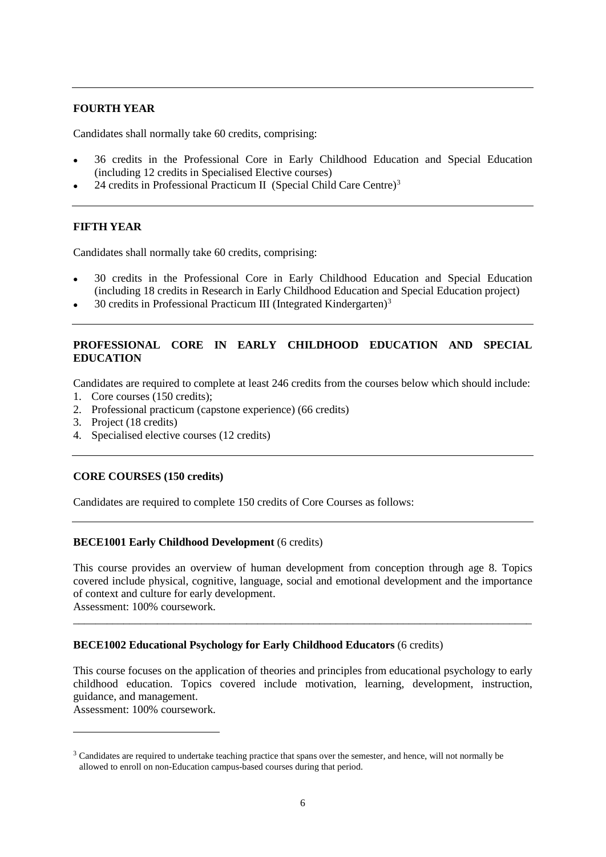## **FOURTH YEAR**

Candidates shall normally take 60 credits, comprising:

- 36 credits in the Professional Core in Early Childhood Education and Special Education (including 12 credits in Specialised Elective courses)
- 24 credits in Professional Practicum II (Special Child Care Centre)<sup>[3](#page-5-0)</sup>

#### **FIFTH YEAR**

Candidates shall normally take 60 credits, comprising:

- 30 credits in the Professional Core in Early Childhood Education and Special Education (including 18 credits in Research in Early Childhood Education and Special Education project)
- 30 credits in Professional Practicum III (Integrated Kindergarten)[3](#page-5-1)

## **PROFESSIONAL CORE IN EARLY CHILDHOOD EDUCATION AND SPECIAL EDUCATION**

Candidates are required to complete at least 246 credits from the courses below which should include:

- 1. Core courses (150 credits);
- 2. Professional practicum (capstone experience) (66 credits)
- 3. Project (18 credits)
- 4. Specialised elective courses (12 credits)

#### **CORE COURSES (150 credits)**

Candidates are required to complete 150 credits of Core Courses as follows:

#### **BECE1001 Early Childhood Development** (6 credits)

This course provides an overview of human development from conception through age 8. Topics covered include physical, cognitive, language, social and emotional development and the importance of context and culture for early development. Assessment: 100% coursework.

\_\_\_\_\_\_\_\_\_\_\_\_\_\_\_\_\_\_\_\_\_\_\_\_\_\_\_\_\_\_\_\_\_\_\_\_\_\_\_\_\_\_\_\_\_\_\_\_\_\_\_\_\_\_\_\_\_\_\_\_\_\_\_\_\_\_\_\_\_\_\_\_\_\_\_\_\_\_\_\_\_\_

#### **BECE1002 Educational Psychology for Early Childhood Educators** (6 credits)

This course focuses on the application of theories and principles from educational psychology to early childhood education. Topics covered include motivation, learning, development, instruction, guidance, and management.

Assessment: 100% coursework.

<u>.</u>

<span id="page-5-1"></span><span id="page-5-0"></span><sup>&</sup>lt;sup>3</sup> Candidates are required to undertake teaching practice that spans over the semester, and hence, will not normally be allowed to enroll on non-Education campus-based courses during that period.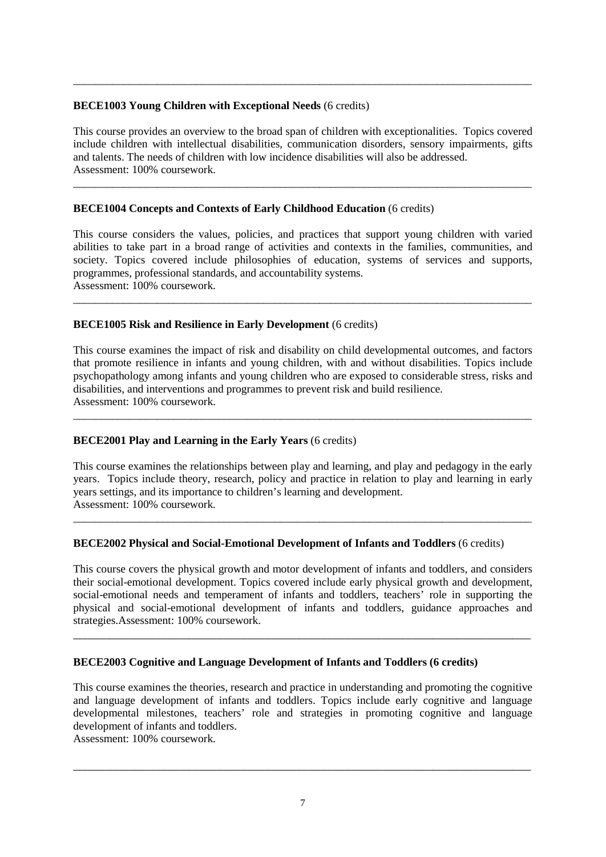## **BECE1003 Young Children with Exceptional Needs** (6 credits)

This course provides an overview to the broad span of children with exceptionalities. Topics covered include children with intellectual disabilities, communication disorders, sensory impairments, gifts and talents. The needs of children with low incidence disabilities will also be addressed. Assessment: 100% coursework.

\_\_\_\_\_\_\_\_\_\_\_\_\_\_\_\_\_\_\_\_\_\_\_\_\_\_\_\_\_\_\_\_\_\_\_\_\_\_\_\_\_\_\_\_\_\_\_\_\_\_\_\_\_\_\_\_\_\_\_\_\_\_\_\_\_\_\_\_\_\_\_\_\_\_\_\_\_\_\_\_\_\_

\_\_\_\_\_\_\_\_\_\_\_\_\_\_\_\_\_\_\_\_\_\_\_\_\_\_\_\_\_\_\_\_\_\_\_\_\_\_\_\_\_\_\_\_\_\_\_\_\_\_\_\_\_\_\_\_\_\_\_\_\_\_\_\_\_\_\_\_\_\_\_\_\_\_\_\_\_\_\_\_\_\_

## **BECE1004 Concepts and Contexts of Early Childhood Education** (6 credits)

This course considers the values, policies, and practices that support young children with varied abilities to take part in a broad range of activities and contexts in the families, communities, and society. Topics covered include philosophies of education, systems of services and supports, programmes, professional standards, and accountability systems. Assessment: 100% coursework.

\_\_\_\_\_\_\_\_\_\_\_\_\_\_\_\_\_\_\_\_\_\_\_\_\_\_\_\_\_\_\_\_\_\_\_\_\_\_\_\_\_\_\_\_\_\_\_\_\_\_\_\_\_\_\_\_\_\_\_\_\_\_\_\_\_\_\_\_\_\_\_\_\_\_\_\_\_\_\_\_\_\_

#### **BECE1005 Risk and Resilience in Early Development** (6 credits)

This course examines the impact of risk and disability on child developmental outcomes, and factors that promote resilience in infants and young children, with and without disabilities. Topics include psychopathology among infants and young children who are exposed to considerable stress, risks and disabilities, and interventions and programmes to prevent risk and build resilience. Assessment: 100% coursework.

\_\_\_\_\_\_\_\_\_\_\_\_\_\_\_\_\_\_\_\_\_\_\_\_\_\_\_\_\_\_\_\_\_\_\_\_\_\_\_\_\_\_\_\_\_\_\_\_\_\_\_\_\_\_\_\_\_\_\_\_\_\_\_\_\_\_\_\_\_\_\_\_\_\_\_\_\_\_\_\_\_\_

## **BECE2001 Play and Learning in the Early Years** (6 credits)

This course examines the relationships between play and learning, and play and pedagogy in the early years. Topics include theory, research, policy and practice in relation to play and learning in early years settings, and its importance to children's learning and development. Assessment: 100% coursework.

\_\_\_\_\_\_\_\_\_\_\_\_\_\_\_\_\_\_\_\_\_\_\_\_\_\_\_\_\_\_\_\_\_\_\_\_\_\_\_\_\_\_\_\_\_\_\_\_\_\_\_\_\_\_\_\_\_\_\_\_\_\_\_\_\_\_\_\_\_\_\_\_\_\_\_\_\_\_\_\_\_\_

#### **BECE2002 Physical and Social-Emotional Development of Infants and Toddlers** (6 credits)

This course covers the physical growth and motor development of infants and toddlers, and considers their social-emotional development. Topics covered include early physical growth and development, social-emotional needs and temperament of infants and toddlers, teachers' role in supporting the physical and social-emotional development of infants and toddlers, guidance approaches and strategies.Assessment: 100% coursework.

\_\_\_\_\_\_\_\_\_\_\_\_\_\_\_\_\_\_\_\_\_\_\_\_\_\_\_\_\_\_\_\_\_\_\_\_\_\_\_\_\_\_\_\_\_\_\_\_\_\_\_\_\_\_\_\_\_\_\_\_\_\_\_\_\_\_\_\_\_\_\_\_\_\_\_

#### **BECE2003 Cognitive and Language Development of Infants and Toddlers (6 credits)**

This course examines the theories, research and practice in understanding and promoting the cognitive and language development of infants and toddlers. Topics include early cognitive and language developmental milestones, teachers' role and strategies in promoting cognitive and language development of infants and toddlers.

Assessment: 100% coursework.

\_\_\_\_\_\_\_\_\_\_\_\_\_\_\_\_\_\_\_\_\_\_\_\_\_\_\_\_\_\_\_\_\_\_\_\_\_\_\_\_\_\_\_\_\_\_\_\_\_\_\_\_\_\_\_\_\_\_\_\_\_\_\_\_\_\_\_\_\_\_\_\_\_\_\_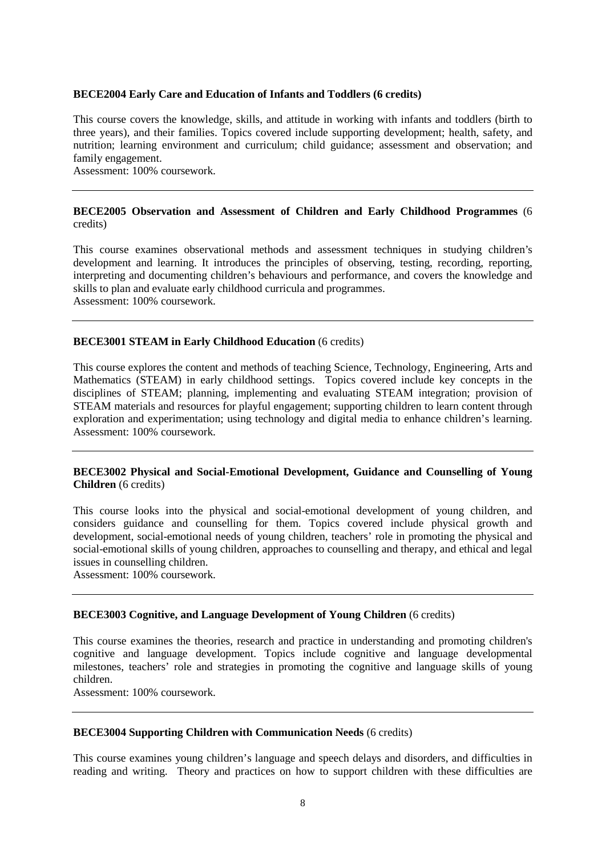#### **BECE2004 Early Care and Education of Infants and Toddlers (6 credits)**

This course covers the knowledge, skills, and attitude in working with infants and toddlers (birth to three years), and their families. Topics covered include supporting development; health, safety, and nutrition; learning environment and curriculum; child guidance; assessment and observation; and family engagement.

Assessment: 100% coursework.

#### **BECE2005 Observation and Assessment of Children and Early Childhood Programmes** (6 credits)

This course examines observational methods and assessment techniques in studying children's development and learning. It introduces the principles of observing, testing, recording, reporting, interpreting and documenting children's behaviours and performance, and covers the knowledge and skills to plan and evaluate early childhood curricula and programmes. Assessment: 100% coursework.

#### **BECE3001 STEAM in Early Childhood Education** (6 credits)

This course explores the content and methods of teaching Science, Technology, Engineering, Arts and Mathematics (STEAM) in early childhood settings. Topics covered include key concepts in the disciplines of STEAM; planning, implementing and evaluating STEAM integration; provision of STEAM materials and resources for playful engagement; supporting children to learn content through exploration and experimentation; using technology and digital media to enhance children's learning. Assessment: 100% coursework.

#### **BECE3002 Physical and Social-Emotional Development, Guidance and Counselling of Young Children** (6 credits)

This course looks into the physical and social-emotional development of young children, and considers guidance and counselling for them. Topics covered include physical growth and development, social-emotional needs of young children, teachers' role in promoting the physical and social-emotional skills of young children, approaches to counselling and therapy, and ethical and legal issues in counselling children.

Assessment: 100% coursework.

#### **BECE3003 Cognitive, and Language Development of Young Children** (6 credits)

This course examines the theories, research and practice in understanding and promoting children's cognitive and language development. Topics include cognitive and language developmental milestones, teachers' role and strategies in promoting the cognitive and language skills of young children.

Assessment: 100% coursework.

## **BECE3004 Supporting Children with Communication Needs** (6 credits)

This course examines young children's language and speech delays and disorders, and difficulties in reading and writing. Theory and practices on how to support children with these difficulties are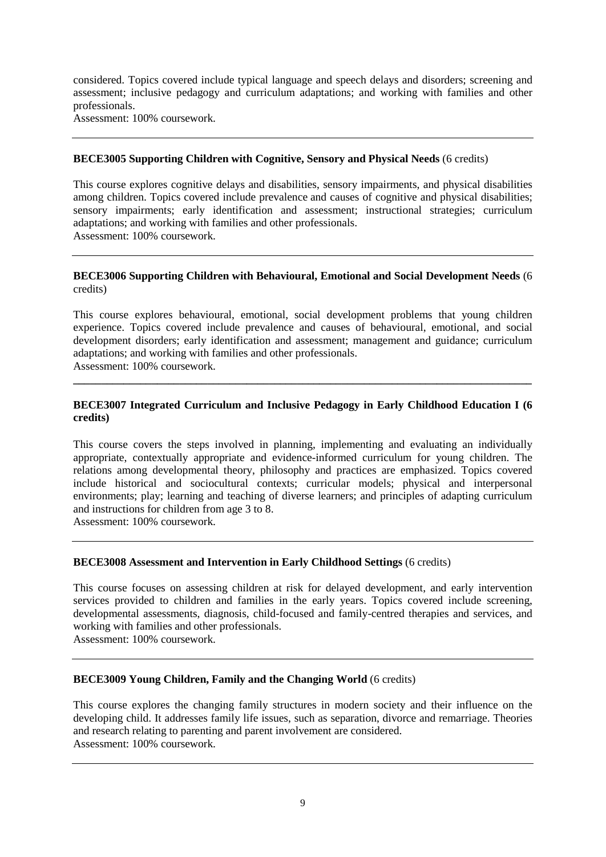considered. Topics covered include typical language and speech delays and disorders; screening and assessment; inclusive pedagogy and curriculum adaptations; and working with families and other professionals.

Assessment: 100% coursework.

## **BECE3005 Supporting Children with Cognitive, Sensory and Physical Needs** (6 credits)

This course explores cognitive delays and disabilities, sensory impairments, and physical disabilities among children. Topics covered include prevalence and causes of cognitive and physical disabilities; sensory impairments; early identification and assessment; instructional strategies; curriculum adaptations; and working with families and other professionals. Assessment: 100% coursework.

## **BECE3006 Supporting Children with Behavioural, Emotional and Social Development Needs** (6 credits)

This course explores behavioural, emotional, social development problems that young children experience. Topics covered include prevalence and causes of behavioural, emotional, and social development disorders; early identification and assessment; management and guidance; curriculum adaptations; and working with families and other professionals.

Assessment: 100% coursework.

## **BECE3007 Integrated Curriculum and Inclusive Pedagogy in Early Childhood Education I (6 credits)**

**\_\_\_\_\_\_\_\_\_\_\_\_\_\_\_\_\_\_\_\_\_\_\_\_\_\_\_\_\_\_\_\_\_\_\_\_\_\_\_\_\_\_\_\_\_\_\_\_\_\_\_\_\_\_\_\_\_\_\_\_\_\_\_\_\_\_\_\_\_\_\_\_\_\_\_\_\_\_\_\_\_\_**

This course covers the steps involved in planning, implementing and evaluating an individually appropriate, contextually appropriate and evidence-informed curriculum for young children. The relations among developmental theory, philosophy and practices are emphasized. Topics covered include historical and sociocultural contexts; curricular models; physical and interpersonal environments; play; learning and teaching of diverse learners; and principles of adapting curriculum and instructions for children from age 3 to 8.

Assessment: 100% coursework.

# **BECE3008 Assessment and Intervention in Early Childhood Settings** (6 credits)

This course focuses on assessing children at risk for delayed development, and early intervention services provided to children and families in the early years. Topics covered include screening, developmental assessments, diagnosis, child-focused and family-centred therapies and services, and working with families and other professionals.

Assessment: 100% coursework.

#### **BECE3009 Young Children, Family and the Changing World** (6 credits)

This course explores the changing family structures in modern society and their influence on the developing child. It addresses family life issues, such as separation, divorce and remarriage. Theories and research relating to parenting and parent involvement are considered. Assessment: 100% coursework.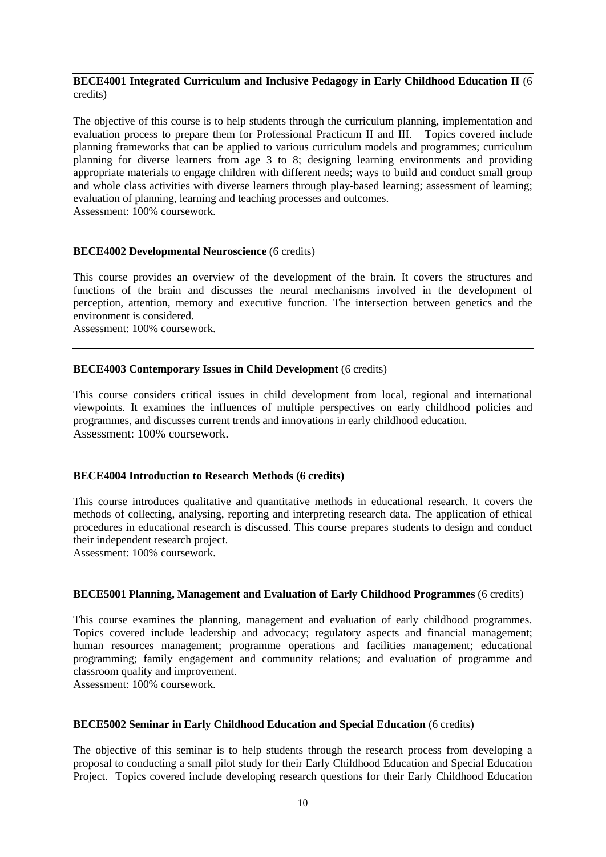## **BECE4001** Integrated Curriculum and Inclusive Pedagogy in Early Childhood Education II (6) credits)

The objective of this course is to help students through the curriculum planning, implementation and evaluation process to prepare them for Professional Practicum II and III. Topics covered include evaluation process to prepare them for Professional Practicum II and III. planning frameworks that can be applied to various curriculum models and programmes; curriculum planning for diverse learners from age 3 to 8; designing learning environments and providing appropriate materials to engage children with different needs; ways to build and conduct small group and whole class activities with diverse learners through play-based learning; assessment of learning; evaluation of planning, learning and teaching processes and outcomes. Assessment: 100% coursework.

# **BECE4002 Developmental Neuroscience** (6 credits)

This course provides an overview of the development of the brain. It covers the structures and functions of the brain and discusses the neural mechanisms involved in the development of perception, attention, memory and executive function. The intersection between genetics and the environment is considered.

Assessment: 100% coursework.

## **BECE4003 Contemporary Issues in Child Development** (6 credits)

This course considers critical issues in child development from local, regional and international viewpoints. It examines the influences of multiple perspectives on early childhood policies and programmes, and discusses current trends and innovations in early childhood education. Assessment: 100% coursework.

#### **BECE4004 Introduction to Research Methods (6 credits)**

This course introduces qualitative and quantitative methods in educational research. It covers the methods of collecting, analysing, reporting and interpreting research data. The application of ethical procedures in educational research is discussed. This course prepares students to design and conduct their independent research project.

Assessment: 100% coursework.

#### **BECE5001 Planning, Management and Evaluation of Early Childhood Programmes** (6 credits)

This course examines the planning, management and evaluation of early childhood programmes. Topics covered include leadership and advocacy; regulatory aspects and financial management; human resources management; programme operations and facilities management; educational programming; family engagement and community relations; and evaluation of programme and classroom quality and improvement.

Assessment: 100% coursework.

#### **BECE5002 Seminar in Early Childhood Education and Special Education** (6 credits)

The objective of this seminar is to help students through the research process from developing a proposal to conducting a small pilot study for their Early Childhood Education and Special Education Project. Topics covered include developing research questions for their Early Childhood Education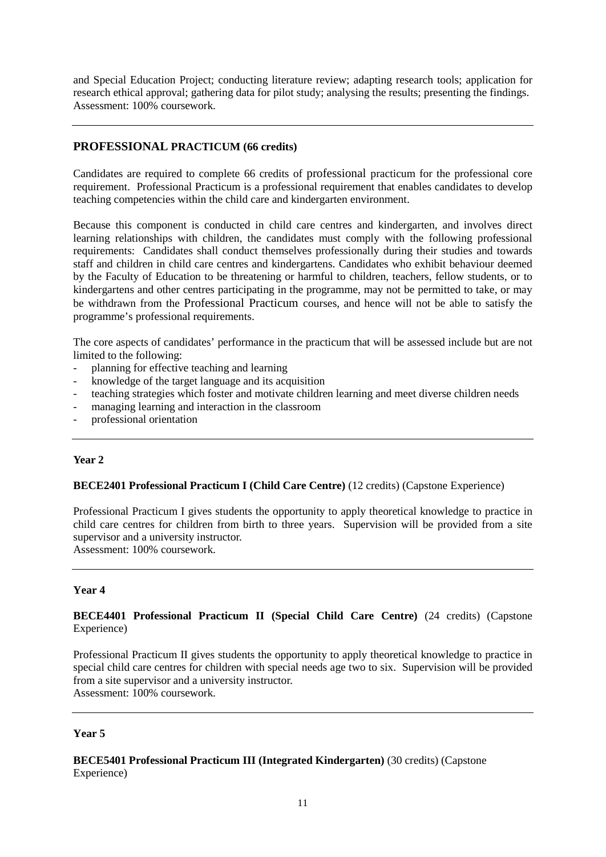and Special Education Project; conducting literature review; adapting research tools; application for research ethical approval; gathering data for pilot study; analysing the results; presenting the findings. Assessment: 100% coursework.

# **PROFESSIONAL PRACTICUM (66 credits)**

Candidates are required to complete 66 credits of professional practicum for the professional core requirement. Professional Practicum is a professional requirement that enables candidates to develop teaching competencies within the child care and kindergarten environment.

Because this component is conducted in child care centres and kindergarten, and involves direct learning relationships with children, the candidates must comply with the following professional requirements: Candidates shall conduct themselves professionally during their studies and towards staff and children in child care centres and kindergartens. Candidates who exhibit behaviour deemed by the Faculty of Education to be threatening or harmful to children, teachers, fellow students, or to kindergartens and other centres participating in the programme, may not be permitted to take, or may be withdrawn from the Professional Practicum courses, and hence will not be able to satisfy the programme's professional requirements.

The core aspects of candidates' performance in the practicum that will be assessed include but are not limited to the following:

- planning for effective teaching and learning
- knowledge of the target language and its acquisition
- teaching strategies which foster and motivate children learning and meet diverse children needs
- managing learning and interaction in the classroom
- professional orientation

# **Year 2**

# **BECE2401 Professional Practicum I (Child Care Centre)** (12 credits) (Capstone Experience)

Professional Practicum I gives students the opportunity to apply theoretical knowledge to practice in child care centres for children from birth to three years. Supervision will be provided from a site supervisor and a university instructor.

Assessment: 100% coursework.

#### **Year 4**

## **BECE4401 Professional Practicum II (Special Child Care Centre)** (24 credits) (Capstone Experience)

Professional Practicum II gives students the opportunity to apply theoretical knowledge to practice in special child care centres for children with special needs age two to six. Supervision will be provided from a site supervisor and a university instructor. Assessment: 100% coursework.

### **Year 5**

# **BECE5401 Professional Practicum III (Integrated Kindergarten)** (30 credits) (Capstone Experience)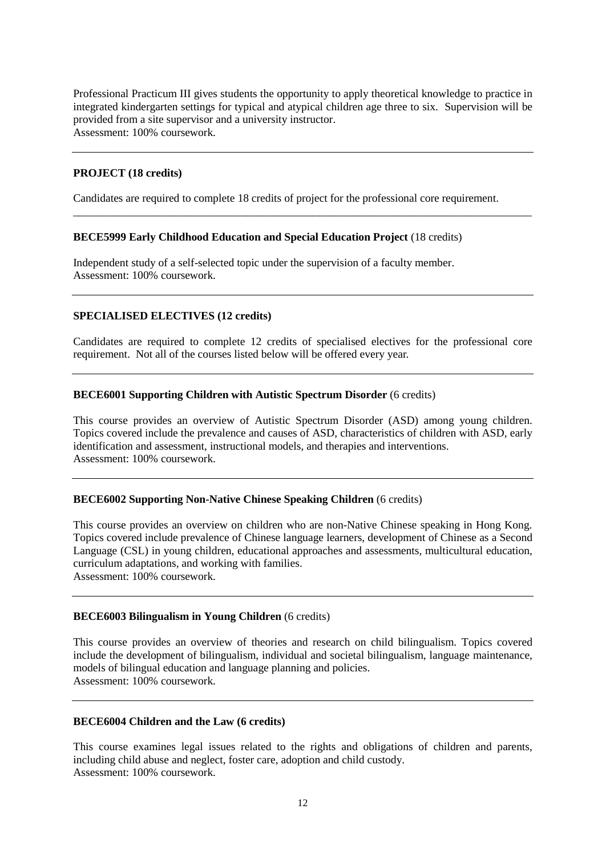Professional Practicum III gives students the opportunity to apply theoretical knowledge to practice in integrated kindergarten settings for typical and atypical children age three to six. Supervision will be provided from a site supervisor and a university instructor. Assessment: 100% coursework.

## **PROJECT (18 credits)**

Candidates are required to complete 18 credits of project for the professional core requirement.

\_\_\_\_\_\_\_\_\_\_\_\_\_\_\_\_\_\_\_\_\_\_\_\_\_\_\_\_\_\_\_\_\_\_\_\_\_\_\_\_\_\_\_\_\_\_\_\_\_\_\_\_\_\_\_\_\_\_\_\_\_\_\_\_\_\_\_\_\_\_\_\_\_\_\_\_\_\_\_\_\_\_

#### **BECE5999 Early Childhood Education and Special Education Project** (18 credits)

Independent study of a self-selected topic under the supervision of a faculty member. Assessment: 100% coursework.

#### **SPECIALISED ELECTIVES (12 credits)**

Candidates are required to complete 12 credits of specialised electives for the professional core requirement. Not all of the courses listed below will be offered every year.

#### **BECE6001 Supporting Children with Autistic Spectrum Disorder** (6 credits)

This course provides an overview of Autistic Spectrum Disorder (ASD) among young children. Topics covered include the prevalence and causes of ASD, characteristics of children with ASD, early identification and assessment, instructional models, and therapies and interventions. Assessment: 100% coursework.

#### **BECE6002 Supporting Non-Native Chinese Speaking Children** (6 credits)

This course provides an overview on children who are non-Native Chinese speaking in Hong Kong. Topics covered include prevalence of Chinese language learners, development of Chinese as a Second Language (CSL) in young children, educational approaches and assessments, multicultural education, curriculum adaptations, and working with families.

Assessment: 100% coursework.

#### **BECE6003 Bilingualism in Young Children** (6 credits)

This course provides an overview of theories and research on child bilingualism. Topics covered include the development of bilingualism, individual and societal bilingualism, language maintenance, models of bilingual education and language planning and policies. Assessment: 100% coursework.

#### **BECE6004 Children and the Law (6 credits)**

This course examines legal issues related to the rights and obligations of children and parents, including child abuse and neglect, foster care, adoption and child custody. Assessment: 100% coursework.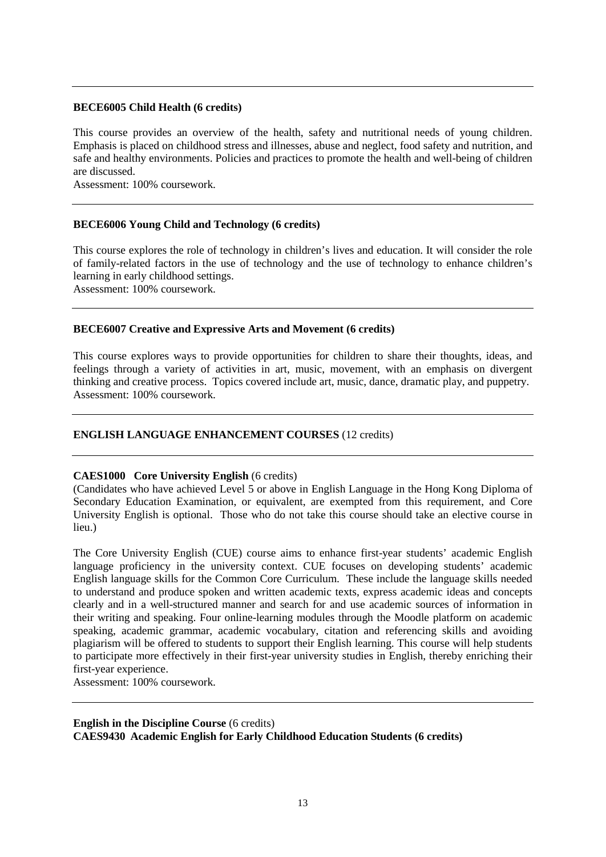### **BECE6005 Child Health (6 credits)**

This course provides an overview of the health, safety and nutritional needs of young children. Emphasis is placed on childhood stress and illnesses, abuse and neglect, food safety and nutrition, and safe and healthy environments. Policies and practices to promote the health and well-being of children are discussed.

Assessment: 100% coursework.

#### **BECE6006 Young Child and Technology (6 credits)**

This course explores the role of technology in children's lives and education. It will consider the role of family-related factors in the use of technology and the use of technology to enhance children's learning in early childhood settings.

Assessment: 100% coursework.

#### **BECE6007 Creative and Expressive Arts and Movement (6 credits)**

This course explores ways to provide opportunities for children to share their thoughts, ideas, and feelings through a variety of activities in art, music, movement, with an emphasis on divergent thinking and creative process. Topics covered include art, music, dance, dramatic play, and puppetry. Assessment: 100% coursework.

#### **ENGLISH LANGUAGE ENHANCEMENT COURSES** (12 credits)

#### **CAES1000 Core University English** (6 credits)

(Candidates who have achieved Level 5 or above in English Language in the Hong Kong Diploma of Secondary Education Examination, or equivalent, are exempted from this requirement, and Core University English is optional. Those who do not take this course should take an elective course in lieu.)

The Core University English (CUE) course aims to enhance first-year students' academic English language proficiency in the university context. CUE focuses on developing students' academic English language skills for the Common Core Curriculum. These include the language skills needed to understand and produce spoken and written academic texts, express academic ideas and concepts clearly and in a well-structured manner and search for and use academic sources of information in their writing and speaking. Four online-learning modules through the Moodle platform on academic speaking, academic grammar, academic vocabulary, citation and referencing skills and avoiding plagiarism will be offered to students to support their English learning. This course will help students to participate more effectively in their first-year university studies in English, thereby enriching their first-year experience.

Assessment: 100% coursework.

## **English in the Discipline Course** (6 credits) **CAES9430 Academic English for Early Childhood Education Students (6 credits)**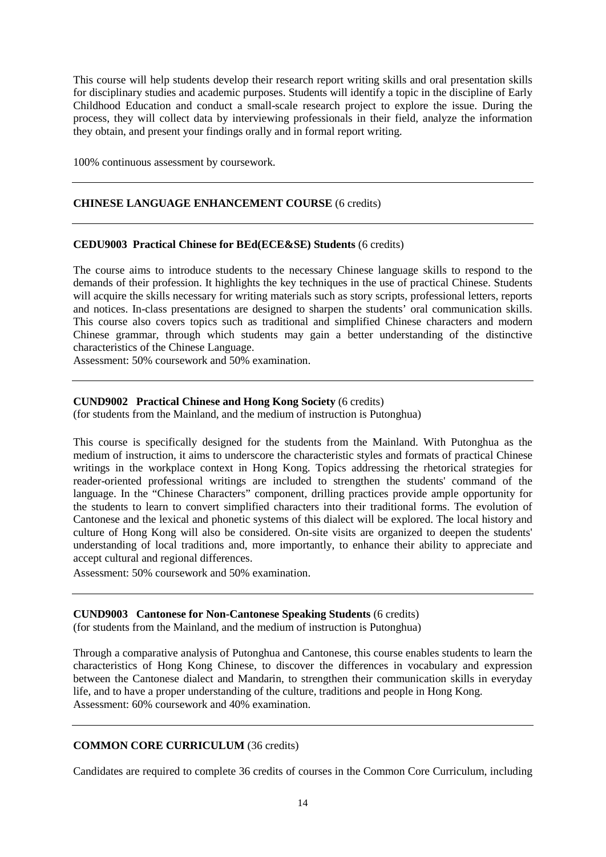This course will help students develop their research report writing skills and oral presentation skills for disciplinary studies and academic purposes. Students will identify a topic in the discipline of Early Childhood Education and conduct a small-scale research project to explore the issue. During the process, they will collect data by interviewing professionals in their field, analyze the information they obtain, and present your findings orally and in formal report writing.

100% continuous assessment by coursework.

## **CHINESE LANGUAGE ENHANCEMENT COURSE** (6 credits)

#### **CEDU9003 Practical Chinese for BEd(ECE&SE) Students** (6 credits)

The course aims to introduce students to the necessary Chinese language skills to respond to the demands of their profession. It highlights the key techniques in the use of practical Chinese. Students will acquire the skills necessary for writing materials such as story scripts, professional letters, reports and notices. In-class presentations are designed to sharpen the students' oral communication skills. This course also covers topics such as traditional and simplified Chinese characters and modern Chinese grammar, through which students may gain a better understanding of the distinctive characteristics of the Chinese Language.

Assessment: 50% coursework and 50% examination.

#### **CUND9002 Practical Chinese and Hong Kong Society** (6 credits)

(for students from the Mainland, and the medium of instruction is Putonghua)

This course is specifically designed for the students from the Mainland. With Putonghua as the medium of instruction, it aims to underscore the characteristic styles and formats of practical Chinese writings in the workplace context in Hong Kong. Topics addressing the rhetorical strategies for reader-oriented professional writings are included to strengthen the students' command of the language. In the "Chinese Characters" component, drilling practices provide ample opportunity for the students to learn to convert simplified characters into their traditional forms. The evolution of Cantonese and the lexical and phonetic systems of this dialect will be explored. The local history and culture of Hong Kong will also be considered. On-site visits are organized to deepen the students' understanding of local traditions and, more importantly, to enhance their ability to appreciate and accept cultural and regional differences.

Assessment: 50% coursework and 50% examination.

#### **CUND9003 Cantonese for Non-Cantonese Speaking Students** (6 credits)

(for students from the Mainland, and the medium of instruction is Putonghua)

Through a comparative analysis of Putonghua and Cantonese, this course enables students to learn the characteristics of Hong Kong Chinese, to discover the differences in vocabulary and expression between the Cantonese dialect and Mandarin, to strengthen their communication skills in everyday life, and to have a proper understanding of the culture, traditions and people in Hong Kong. Assessment: 60% coursework and 40% examination.

#### **COMMON CORE CURRICULUM** (36 credits)

Candidates are required to complete 36 credits of courses in the Common Core Curriculum, including